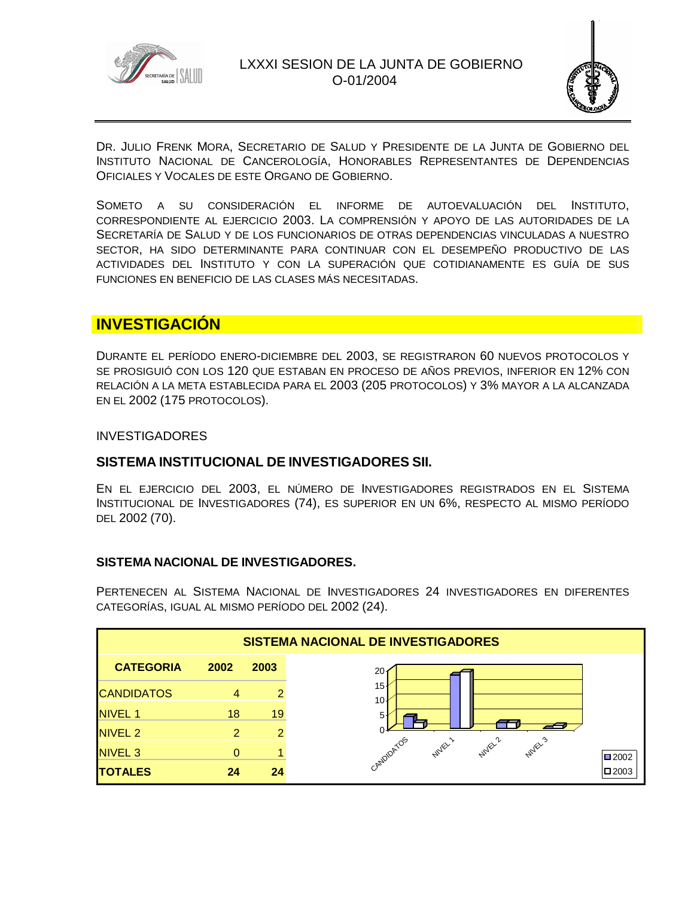



DR. JULIO FRENK MORA, SECRETARIO DE SALUD Y PRESIDENTE DE LA JUNTA DE GOBIERNO DEL INSTITUTO NACIONAL DE CANCEROLOGÍA, HONORABLES REPRESENTANTES DE DEPENDENCIAS OFICIALES Y VOCALES DE ESTE ORGANO DE GOBIERNO.

SOMETO A SU CONSIDERACIÓN EL INFORME DE AUTOEVALUACIÓN DEL INSTITUTO, CORRESPONDIENTE AL EJERCICIO 2003. LA COMPRENSIÓN Y APOYO DE LAS AUTORIDADES DE LA SECRETARÍA DE SALUD Y DE LOS FUNCIONARIOS DE OTRAS DEPENDENCIAS VINCULADAS A NUESTRO SECTOR, HA SIDO DETERMINANTE PARA CONTINUAR CON EL DESEMPEÑO PRODUCTIVO DE LAS ACTIVIDADES DEL INSTITUTO Y CON LA SUPERACIÓN QUE COTIDIANAMENTE ES GUÍA DE SUS FUNCIONES EN BENEFICIO DE LAS CLASES MÁS NECESITADAS.

# **INVESTIGACIÓN**

DURANTE EL PERÍODO ENERO-DICIEMBRE DEL 2003, SE REGISTRARON 60 NUEVOS PROTOCOLOS Y SE PROSIGUIÓ CON LOS 120 QUE ESTABAN EN PROCESO DE AÑOS PREVIOS, INFERIOR EN 12% CON RELACIÓN A LA META ESTABLECIDA PARA EL 2003 (205 PROTOCOLOS) Y 3% MAYOR A LA ALCANZADA EN EL 2002 (175 PROTOCOLOS).

#### **INVESTIGADORES**

## **SISTEMA INSTITUCIONAL DE INVESTIGADORES SII.**

EN EL EJERCICIO DEL 2003, EL NÚMERO DE INVESTIGADORES REGISTRADOS EN EL SISTEMA INSTITUCIONAL DE INVESTIGADORES (74), ES SUPERIOR EN UN 6%, RESPECTO AL MISMO PERÍODO DEL 2002 (70).

#### **SISTEMA NACIONAL DE INVESTIGADORES.**

PERTENECEN AL SISTEMA NACIONAL DE INVESTIGADORES 24 INVESTIGADORES EN DIFERENTES CATEGORÍAS, IGUAL AL MISMO PERÍODO DEL 2002 (24).

| <b>SISTEMA NACIONAL DE INVESTIGADORES</b> |      |                |                                                              |  |  |  |  |
|-------------------------------------------|------|----------------|--------------------------------------------------------------|--|--|--|--|
| <b>CATEGORIA</b>                          | 2002 | 2003           | 20                                                           |  |  |  |  |
| <b>CANDIDATOS</b>                         |      | $\overline{2}$ | 15<br>10 <sup>1</sup>                                        |  |  |  |  |
| <b>NIVEL 1</b>                            | 18   | 19             | 5                                                            |  |  |  |  |
| NIVEL <sub>2</sub>                        | 2    | 2              |                                                              |  |  |  |  |
| NIVEL <sub>3</sub>                        | 0    |                | CANDIDATOS<br><b>NUVEL2</b><br><b>Nuley's</b><br><b>NUEL</b> |  |  |  |  |
| <b>TOTALES</b>                            | 24   | 24             |                                                              |  |  |  |  |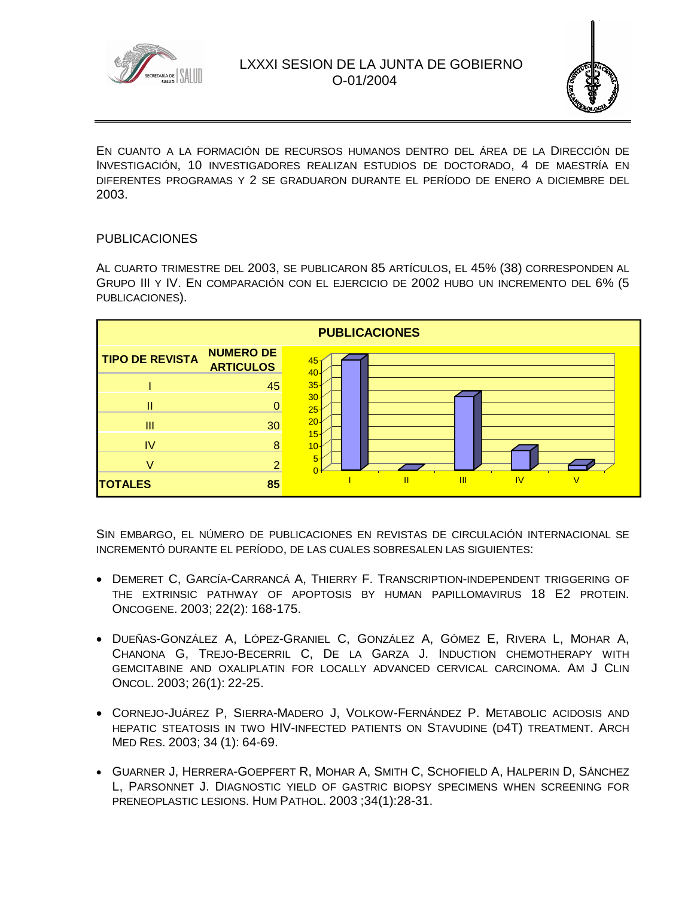



EN CUANTO A LA FORMACIÓN DE RECURSOS HUMANOS DENTRO DEL ÁREA DE LA DIRECCIÓN DE INVESTIGACIÓN, 10 INVESTIGADORES REALIZAN ESTUDIOS DE DOCTORADO, 4 DE MAESTRÍA EN DIFERENTES PROGRAMAS Y 2 SE GRADUARON DURANTE EL PERÍODO DE ENERO A DICIEMBRE DEL 2003.

#### PUBLICACIONES

AL CUARTO TRIMESTRE DEL 2003, SE PUBLICARON 85 ARTÍCULOS, EL 45% (38) CORRESPONDEN AL GRUPO III Y IV. EN COMPARACIÓN CON EL EJERCICIO DE 2002 HUBO UN INCREMENTO DEL 6% (5 PUBLICACIONES).



SIN EMBARGO, EL NÚMERO DE PUBLICACIONES EN REVISTAS DE CIRCULACIÓN INTERNACIONAL SE INCREMENTÓ DURANTE EL PERÍODO, DE LAS CUALES SOBRESALEN LAS SIGUIENTES:

- DEMERET C, GARCÍA-CARRANCÁ A, THIERRY F. TRANSCRIPTION-INDEPENDENT TRIGGERING OF THE EXTRINSIC PATHWAY OF APOPTOSIS BY HUMAN PAPILLOMAVIRUS 18 E2 PROTEIN. ONCOGENE. 2003; 22(2): 168-175.
- DUEÑAS-GONZÁLEZ A, LÓPEZ-GRANIEL C, GONZÁLEZ A, GÓMEZ E, RIVERA L, MOHAR A, CHANONA G, TREJO-BECERRIL C, DE LA GARZA J. INDUCTION CHEMOTHERAPY WITH GEMCITABINE AND OXALIPLATIN FOR LOCALLY ADVANCED CERVICAL CARCINOMA. AM J CLIN ONCOL. 2003; 26(1): 22-25.
- CORNEJO-JUÁREZ P, SIERRA-MADERO J, VOLKOW-FERNÁNDEZ P. METABOLIC ACIDOSIS AND HEPATIC STEATOSIS IN TWO HIV-INFECTED PATIENTS ON STAVUDINE (D4T) TREATMENT. ARCH MED RES. 2003; 34 (1): 64-69.
- GUARNER J, HERRERA-GOEPFERT R, MOHAR A, SMITH C, SCHOFIELD A, HALPERIN D, SÁNCHEZ L, PARSONNET J. DIAGNOSTIC YIELD OF GASTRIC BIOPSY SPECIMENS WHEN SCREENING FOR PRENEOPLASTIC LESIONS. HUM PATHOL. 2003 ;34(1):28-31.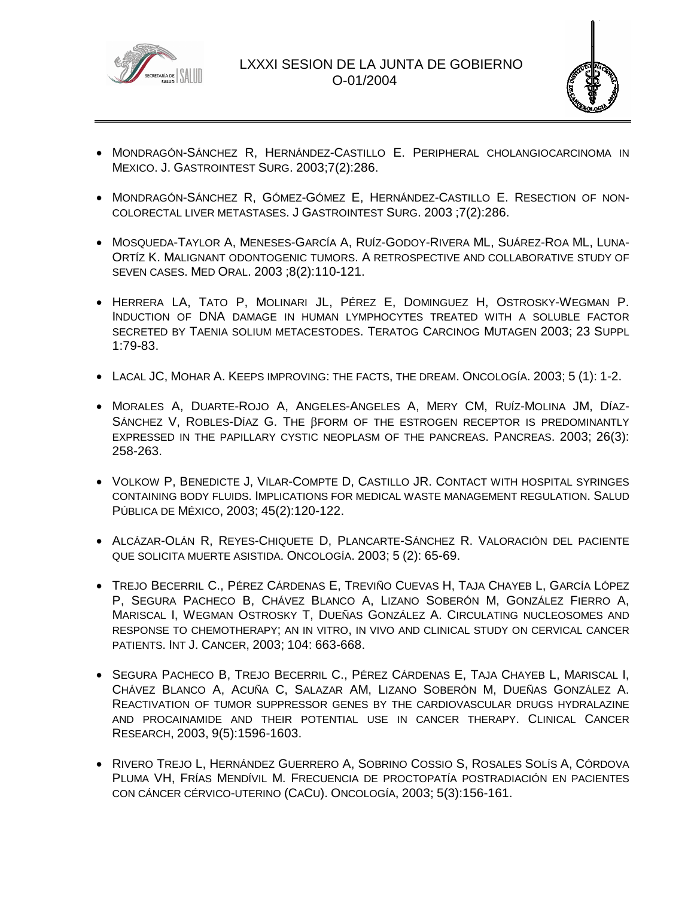



- MONDRAGÓN-SÁNCHEZ R, HERNÁNDEZ-CASTILLO E. PERIPHERAL CHOLANGIOCARCINOMA IN MEXICO. J. GASTROINTEST SURG. 2003;7(2):286.
- MONDRAGÓN-SÁNCHEZ R, GÓMEZ-GÓMEZ E, HERNÁNDEZ-CASTILLO E. RESECTION OF NON-COLORECTAL LIVER METASTASES. J GASTROINTEST SURG. 2003 ;7(2):286.
- MOSQUEDA-TAYLOR A, MENESES-GARCÍA A, RUÍZ-GODOY-RIVERA ML, SUÁREZ-ROA ML, LUNA-ORTÍZ K. MALIGNANT ODONTOGENIC TUMORS. A RETROSPECTIVE AND COLLABORATIVE STUDY OF SEVEN CASES. MED ORAL. 2003 ;8(2):110-121.
- HERRERA LA, TATO P, MOLINARI JL, PÉREZ E, DOMINGUEZ H, OSTROSKY-WEGMAN P. INDUCTION OF DNA DAMAGE IN HUMAN LYMPHOCYTES TREATED WITH A SOLUBLE FACTOR SECRETED BY TAENIA SOLIUM METACESTODES. TERATOG CARCINOG MUTAGEN 2003; 23 SUPPL 1:79-83.
- LACAL JC, MOHAR A. KEEPS IMPROVING: THE FACTS, THE DREAM. ONCOLOGÍA. 2003; 5 (1): 1-2.
- MORALES A, DUARTE-ROJO A, ANGELES-ANGELES A, MERY CM, RUÍZ-MOLINA JM, DÍAZ-SÁNCHEZ V, ROBLES-DÍAZ G. THE BFORM OF THE ESTROGEN RECEPTOR IS PREDOMINANTLY EXPRESSED IN THE PAPILLARY CYSTIC NEOPLASM OF THE PANCREAS. PANCREAS. 2003; 26(3): 258-263.
- VOLKOW P, BENEDICTE J, VILAR-COMPTE D, CASTILLO JR. CONTACT WITH HOSPITAL SYRINGES CONTAINING BODY FLUIDS. IMPLICATIONS FOR MEDICAL WASTE MANAGEMENT REGULATION. SALUD PÚBLICA DE MÉXICO, 2003; 45(2):120-122.
- ALCÁZAR-OLÁN R, REYES-CHIQUETE D, PLANCARTE-SÁNCHEZ R. VALORACIÓN DEL PACIENTE QUE SOLICITA MUERTE ASISTIDA. ONCOLOGÍA. 2003; 5 (2): 65-69.
- TREJO BECERRIL C., PÉREZ CÁRDENAS E, TREVIÑO CUEVAS H, TAJA CHAYEB L, GARCÍA LÓPEZ P, SEGURA PACHECO B, CHÁVEZ BLANCO A, LIZANO SOBERÓN M, GONZÁLEZ FIERRO A, MARISCAL I, WEGMAN OSTROSKY T, DUEÑAS GONZÁLEZ A. CIRCULATING NUCLEOSOMES AND RESPONSE TO CHEMOTHERAPY; AN IN VITRO, IN VIVO AND CLINICAL STUDY ON CERVICAL CANCER PATIENTS. INT J. CANCER, 2003; 104: 663-668.
- **SEGURA PACHECO B, TREJO BECERRIL C., PÉREZ CÁRDENAS E, TAJA CHAYEB L, MARISCAL I,** CHÁVEZ BLANCO A, ACUÑA C, SALAZAR AM, LIZANO SOBERÓN M, DUEÑAS GONZÁLEZ A. REACTIVATION OF TUMOR SUPPRESSOR GENES BY THE CARDIOVASCULAR DRUGS HYDRALAZINE AND PROCAINAMIDE AND THEIR POTENTIAL USE IN CANCER THERAPY. CLINICAL CANCER RESEARCH, 2003, 9(5):1596-1603.
- RIVERO TREJO L, HERNÁNDEZ GUERRERO A, SOBRINO COSSIO S, ROSALES SOLÍS A, CÓRDOVA PLUMA VH, FRÍAS MENDÍVIL M. FRECUENCIA DE PROCTOPATÍA POSTRADIACIÓN EN PACIENTES CON CÁNCER CÉRVICO-UTERINO (CACU). ONCOLOGÍA, 2003; 5(3):156-161.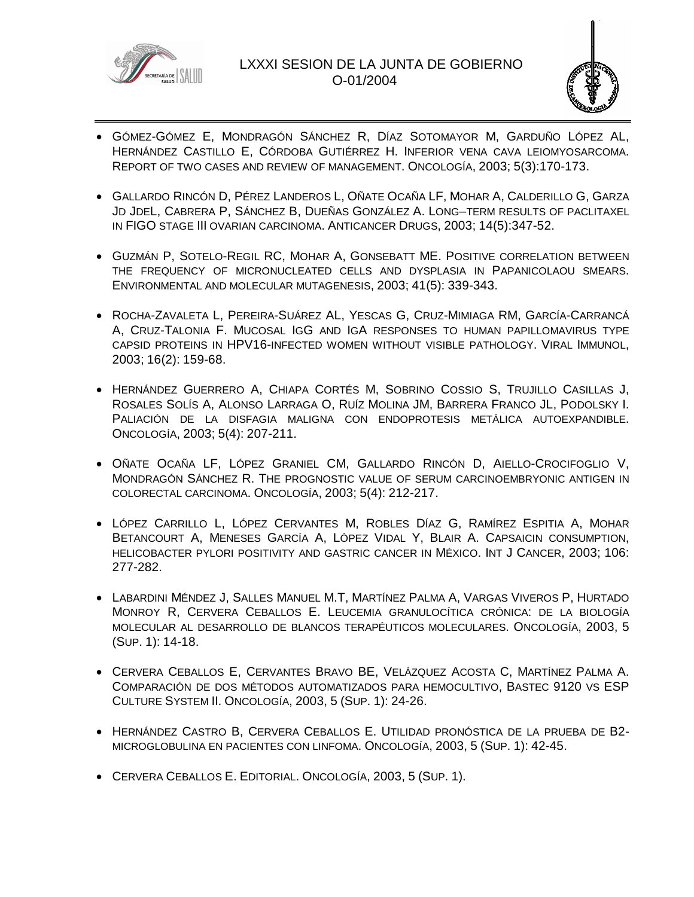



- GÓMEZ-GÓMEZ E, MONDRAGÓN SÁNCHEZ R, DÍAZ SOTOMAYOR M, GARDUÑO LÓPEZ AL, HERNÁNDEZ CASTILLO E, CÓRDOBA GUTIÉRREZ H. INFERIOR VENA CAVA LEIOMYOSARCOMA. REPORT OF TWO CASES AND REVIEW OF MANAGEMENT. ONCOLOGÍA, 2003; 5(3):170-173.
- GALLARDO RINCÓN D, PÉREZ LANDEROS L, OÑATE OCAÑA LF, MOHAR A, CALDERILLO G, GARZA JD JDEL, CABRERA P, SÁNCHEZ B, DUEÑAS GONZÁLEZ A. LONG–TERM RESULTS OF PACLITAXEL IN FIGO STAGE III OVARIAN CARCINOMA. ANTICANCER DRUGS, 2003; 14(5):347-52.
- GUZMÁN P, SOTELO-REGIL RC, MOHAR A, GONSEBATT ME. POSITIVE CORRELATION BETWEEN THE FREQUENCY OF MICRONUCLEATED CELLS AND DYSPLASIA IN PAPANICOLAOU SMEARS. ENVIRONMENTAL AND MOLECULAR MUTAGENESIS, 2003; 41(5): 339-343.
- ROCHA-ZAVALETA L, PEREIRA-SUÁREZ AL, YESCAS G, CRUZ-MIMIAGA RM, GARCÍA-CARRANCÁ A, CRUZ-TALONIA F. MUCOSAL IGG AND IGA RESPONSES TO HUMAN PAPILLOMAVIRUS TYPE CAPSID PROTEINS IN HPV16-INFECTED WOMEN WITHOUT VISIBLE PATHOLOGY. VIRAL IMMUNOL, 2003; 16(2): 159-68.
- HERNÁNDEZ GUERRERO A, CHIAPA CORTÉS M, SOBRINO COSSIO S, TRUJILLO CASILLAS J, ROSALES SOLÍS A, ALONSO LARRAGA O, RUÍZ MOLINA JM, BARRERA FRANCO JL, PODOLSKY I. PALIACIÓN DE LA DISFAGIA MALIGNA CON ENDOPROTESIS METÁLICA AUTOEXPANDIBLE. ONCOLOGÍA, 2003; 5(4): 207-211.
- OÑATE OCAÑA LF, LÓPEZ GRANIEL CM, GALLARDO RINCÓN D, AIELLO-CROCIFOGLIO V, MONDRAGÓN SÁNCHEZ R. THE PROGNOSTIC VALUE OF SERUM CARCINOEMBRYONIC ANTIGEN IN COLORECTAL CARCINOMA. ONCOLOGÍA, 2003; 5(4): 212-217.
- LÓPEZ CARRILLO L, LÓPEZ CERVANTES M, ROBLES DÍAZ G, RAMÍREZ ESPITIA A, MOHAR BETANCOURT A, MENESES GARCÍA A, LÓPEZ VIDAL Y, BLAIR A. CAPSAICIN CONSUMPTION, HELICOBACTER PYLORI POSITIVITY AND GASTRIC CANCER IN MÉXICO. INT J CANCER, 2003; 106: 277-282.
- LABARDINI MÉNDEZ J, SALLES MANUEL M.T, MARTÍNEZ PALMA A, VARGAS VIVEROS P, HURTADO MONROY R, CERVERA CEBALLOS E. LEUCEMIA GRANULOCÍTICA CRÓNICA: DE LA BIOLOGÍA MOLECULAR AL DESARROLLO DE BLANCOS TERAPÉUTICOS MOLECULARES. ONCOLOGÍA, 2003, 5 (SUP. 1): 14-18.
- CERVERA CEBALLOS E, CERVANTES BRAVO BE, VELÁZQUEZ ACOSTA C, MARTÍNEZ PALMA A. COMPARACIÓN DE DOS MÉTODOS AUTOMATIZADOS PARA HEMOCULTIVO, BASTEC 9120 VS ESP CULTURE SYSTEM II. ONCOLOGÍA, 2003, 5 (SUP. 1): 24-26.
- HERNÁNDEZ CASTRO B, CERVERA CEBALLOS E. UTILIDAD PRONÓSTICA DE LA PRUEBA DE B2- MICROGLOBULINA EN PACIENTES CON LINFOMA. ONCOLOGÍA, 2003, 5 (SUP. 1): 42-45.
- CERVERA CEBALLOS E. EDITORIAL. ONCOLOGÍA, 2003, 5 (SUP. 1).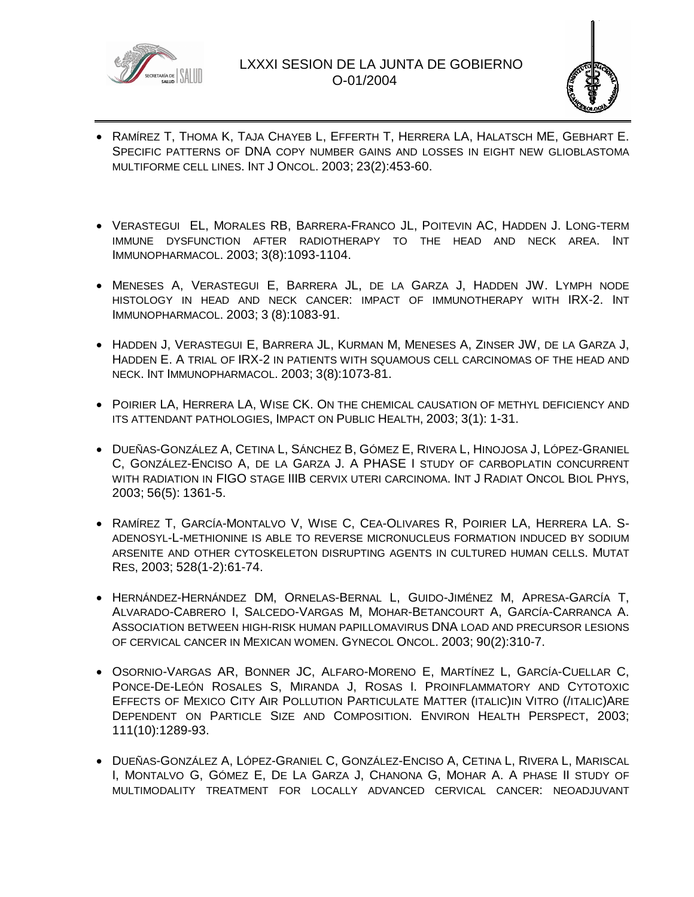



- RAMÍREZ T, THOMA K, TAJA CHAYEB L, EFFERTH T, HERRERA LA, HALATSCH ME, GEBHART E. SPECIFIC PATTERNS OF DNA COPY NUMBER GAINS AND LOSSES IN EIGHT NEW GLIOBLASTOMA MULTIFORME CELL LINES. INT J ONCOL. 2003; 23(2):453-60.
- VERASTEGUI EL, MORALES RB, BARRERA-FRANCO JL, POITEVIN AC, HADDEN J. LONG-TERM IMMUNE DYSFUNCTION AFTER RADIOTHERAPY TO THE HEAD AND NECK AREA. INT IMMUNOPHARMACOL. 2003; 3(8):1093-1104.
- MENESES A, VERASTEGUI E, BARRERA JL, DE LA GARZA J, HADDEN JW. LYMPH NODE HISTOLOGY IN HEAD AND NECK CANCER: IMPACT OF IMMUNOTHERAPY WITH IRX-2. INT IMMUNOPHARMACOL. 2003; 3 (8):1083-91.
- HADDEN J, VERASTEGUI E, BARRERA JL, KURMAN M, MENESES A, ZINSER JW, DE LA GARZA J, HADDEN E. A TRIAL OF IRX-2 IN PATIENTS WITH SQUAMOUS CELL CARCINOMAS OF THE HEAD AND NECK. INT IMMUNOPHARMACOL. 2003; 3(8):1073-81.
- **POIRIER LA, HERRERA LA, WISE CK. ON THE CHEMICAL CAUSATION OF METHYL DEFICIENCY AND** ITS ATTENDANT PATHOLOGIES, IMPACT ON PUBLIC HEALTH, 2003; 3(1): 1-31.
- DUEÑAS-GONZÁLEZ A, CETINA L, SÁNCHEZ B, GÓMEZ E, RIVERA L, HINOJOSA J, LÓPEZ-GRANIEL C, GONZÁLEZ-ENCISO A, DE LA GARZA J. A PHASE I STUDY OF CARBOPLATIN CONCURRENT WITH RADIATION IN FIGO STAGE IIIB CERVIX UTERI CARCINOMA. INT J RADIAT ONCOL BIOL PHYS, 2003; 56(5): 1361-5.
- RAMÍREZ T, GARCÍA-MONTALVO V, WISE C, CEA-OLIVARES R, POIRIER LA, HERRERA LA. S-ADENOSYL-L-METHIONINE IS ABLE TO REVERSE MICRONUCLEUS FORMATION INDUCED BY SODIUM ARSENITE AND OTHER CYTOSKELETON DISRUPTING AGENTS IN CULTURED HUMAN CELLS. MUTAT RES, 2003; 528(1-2):61-74.
- HERNÁNDEZ-HERNÁNDEZ DM, ORNELAS-BERNAL L, GUIDO-JIMÉNEZ M, APRESA-GARCÍA T, ALVARADO-CABRERO I, SALCEDO-VARGAS M, MOHAR-BETANCOURT A, GARCÍA-CARRANCA A. ASSOCIATION BETWEEN HIGH-RISK HUMAN PAPILLOMAVIRUS DNA LOAD AND PRECURSOR LESIONS OF CERVICAL CANCER IN MEXICAN WOMEN. GYNECOL ONCOL. 2003; 90(2):310-7.
- OSORNIO-VARGAS AR, BONNER JC, ALFARO-MORENO E, MARTÍNEZ L, GARCÍA-CUELLAR C, PONCE-DE-LEÓN ROSALES S, MIRANDA J, ROSAS I. PROINFLAMMATORY AND CYTOTOXIC EFFECTS OF MEXICO CITY AIR POLLUTION PARTICULATE MATTER (ITALIC)IN VITRO (/ITALIC)ARE DEPENDENT ON PARTICLE SIZE AND COMPOSITION. ENVIRON HEALTH PERSPECT, 2003; 111(10):1289-93.
- DUEÑAS-GONZÁLEZ A, LÓPEZ-GRANIEL C, GONZÁLEZ-ENCISO A, CETINA L, RIVERA L, MARISCAL I, MONTALVO G, GÓMEZ E, DE LA GARZA J, CHANONA G, MOHAR A. A PHASE II STUDY OF MULTIMODALITY TREATMENT FOR LOCALLY ADVANCED CERVICAL CANCER: NEOADJUVANT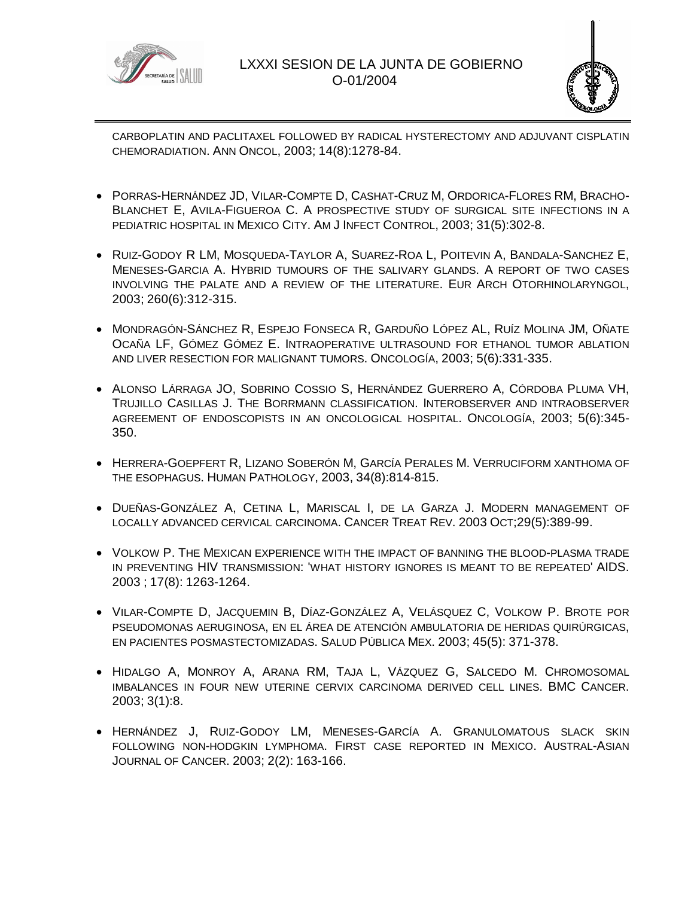



CARBOPLATIN AND PACLITAXEL FOLLOWED BY RADICAL HYSTERECTOMY AND ADJUVANT CISPLATIN CHEMORADIATION. ANN ONCOL, 2003; 14(8):1278-84.

- PORRAS-HERNÁNDEZ JD, VILAR-COMPTE D, CASHAT-CRUZ M, ORDORICA-FLORES RM, BRACHO-BLANCHET E, AVILA-FIGUEROA C. A PROSPECTIVE STUDY OF SURGICAL SITE INFECTIONS IN A PEDIATRIC HOSPITAL IN MEXICO CITY. AM J INFECT CONTROL, 2003; 31(5):302-8.
- RUIZ-GODOY R LM, MOSQUEDA-TAYLOR A, SUAREZ-ROA L, POITEVIN A, BANDALA-SANCHEZ E, MENESES-GARCIA A. HYBRID TUMOURS OF THE SALIVARY GLANDS. A REPORT OF TWO CASES INVOLVING THE PALATE AND A REVIEW OF THE LITERATURE. EUR ARCH OTORHINOLARYNGOL, 2003; 260(6):312-315.
- MONDRAGÓN-SÁNCHEZ R, ESPEJO FONSECA R, GARDUÑO LÓPEZ AL, RUÍZ MOLINA JM, OÑATE OCAÑA LF, GÓMEZ GÓMEZ E. INTRAOPERATIVE ULTRASOUND FOR ETHANOL TUMOR ABLATION AND LIVER RESECTION FOR MALIGNANT TUMORS. ONCOLOGÍA, 2003; 5(6):331-335.
- ALONSO LÁRRAGA JO, SOBRINO COSSIO S, HERNÁNDEZ GUERRERO A, CÓRDOBA PLUMA VH, TRUJILLO CASILLAS J. THE BORRMANN CLASSIFICATION. INTEROBSERVER AND INTRAOBSERVER AGREEMENT OF ENDOSCOPISTS IN AN ONCOLOGICAL HOSPITAL. ONCOLOGÍA, 2003; 5(6):345- 350.
- HERRERA-GOEPFERT R, LIZANO SOBERÓN M, GARCÍA PERALES M. VERRUCIFORM XANTHOMA OF THE ESOPHAGUS. HUMAN PATHOLOGY, 2003, 34(8):814-815.
- DUEÑAS-GONZÁLEZ A, CETINA L, MARISCAL I, DE LA GARZA J. MODERN MANAGEMENT OF LOCALLY ADVANCED CERVICAL CARCINOMA. CANCER TREAT REV. 2003 OCT;29(5):389-99.
- VOLKOW P. THE MEXICAN EXPERIENCE WITH THE IMPACT OF BANNING THE BLOOD-PLASMA TRADE IN PREVENTING HIV TRANSMISSION: 'WHAT HISTORY IGNORES IS MEANT TO BE REPEATED' AIDS. 2003 ; 17(8): 1263-1264.
- VILAR-COMPTE D, JACQUEMIN B, DÍAZ-GONZÁLEZ A, VELÁSQUEZ C, VOLKOW P. BROTE POR PSEUDOMONAS AERUGINOSA, EN EL ÁREA DE ATENCIÓN AMBULATORIA DE HERIDAS QUIRÚRGICAS, EN PACIENTES POSMASTECTOMIZADAS. SALUD PÚBLICA MEX. 2003; 45(5): 371-378.
- HIDALGO A, MONROY A, ARANA RM, TAJA L, VÁZQUEZ G, SALCEDO M. CHROMOSOMAL IMBALANCES IN FOUR NEW UTERINE CERVIX CARCINOMA DERIVED CELL LINES. BMC CANCER. 2003; 3(1):8.
- HERNÁNDEZ J, RUIZ-GODOY LM, MENESES-GARCÍA A. GRANULOMATOUS SLACK SKIN FOLLOWING NON-HODGKIN LYMPHOMA. FIRST CASE REPORTED IN MEXICO. AUSTRAL-ASIAN JOURNAL OF CANCER. 2003; 2(2): 163-166.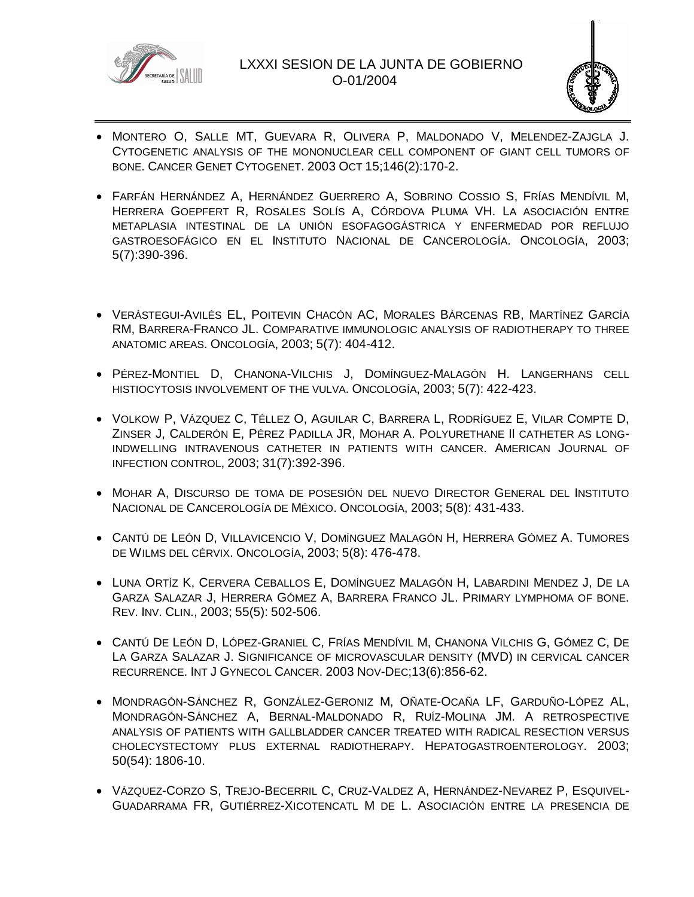



- MONTERO O, SALLE MT, GUEVARA R, OLIVERA P, MALDONADO V, MELENDEZ-ZAJGLA J. CYTOGENETIC ANALYSIS OF THE MONONUCLEAR CELL COMPONENT OF GIANT CELL TUMORS OF BONE. CANCER GENET CYTOGENET. 2003 OCT 15;146(2):170-2.
- FARFÁN HERNÁNDEZ A, HERNÁNDEZ GUERRERO A, SOBRINO COSSIO S, FRÍAS MENDÍVIL M, HERRERA GOEPFERT R, ROSALES SOLÍS A, CÓRDOVA PLUMA VH. LA ASOCIACIÓN ENTRE METAPLASIA INTESTINAL DE LA UNIÓN ESOFAGOGÁSTRICA Y ENFERMEDAD POR REFLUJO GASTROESOFÁGICO EN EL INSTITUTO NACIONAL DE CANCEROLOGÍA. ONCOLOGÍA, 2003; 5(7):390-396.
- VERÁSTEGUI-AVILÉS EL, POITEVIN CHACÓN AC, MORALES BÁRCENAS RB, MARTÍNEZ GARCÍA RM, BARRERA-FRANCO JL. COMPARATIVE IMMUNOLOGIC ANALYSIS OF RADIOTHERAPY TO THREE ANATOMIC AREAS. ONCOLOGÍA, 2003; 5(7): 404-412.
- PÉREZ-MONTIEL D, CHANONA-VILCHIS J, DOMÍNGUEZ-MALAGÓN H. LANGERHANS CELL HISTIOCYTOSIS INVOLVEMENT OF THE VULVA. ONCOLOGÍA, 2003; 5(7): 422-423.
- VOLKOW P, VÁZQUEZ C, TÉLLEZ O, AGUILAR C, BARRERA L, RODRÍGUEZ E, VILAR COMPTE D, ZINSER J, CALDERÓN E, PÉREZ PADILLA JR, MOHAR A. POLYURETHANE II CATHETER AS LONG-INDWELLING INTRAVENOUS CATHETER IN PATIENTS WITH CANCER. AMERICAN JOURNAL OF INFECTION CONTROL, 2003; 31(7):392-396.
- MOHAR A, DISCURSO DE TOMA DE POSESIÓN DEL NUEVO DIRECTOR GENERAL DEL INSTITUTO NACIONAL DE CANCEROLOGÍA DE MÉXICO. ONCOLOGÍA, 2003; 5(8): 431-433.
- CANTÚ DE LEÓN D, VILLAVICENCIO V, DOMÍNGUEZ MALAGÓN H, HERRERA GÓMEZ A. TUMORES DE WILMS DEL CÉRVIX. ONCOLOGÍA, 2003; 5(8): 476-478.
- LUNA ORTÍZ K, CERVERA CEBALLOS E, DOMÍNGUEZ MALAGÓN H, LABARDINI MENDEZ J, DE LA GARZA SALAZAR J, HERRERA GÓMEZ A, BARRERA FRANCO JL. PRIMARY LYMPHOMA OF BONE. REV. INV. CLIN., 2003; 55(5): 502-506.
- CANTÚ DE LEÓN D, LÓPEZ-GRANIEL C, FRÍAS MENDÍVIL M, CHANONA VILCHIS G, GÓMEZ C, DE LA GARZA SALAZAR J. SIGNIFICANCE OF MICROVASCULAR DENSITY (MVD) IN CERVICAL CANCER RECURRENCE. INT J GYNECOL CANCER. 2003 NOV-DEC;13(6):856-62.
- MONDRAGÓN-SÁNCHEZ R, GONZÁLEZ-GERONIZ M, OÑATE-OCAÑA LF, GARDUÑO-LÓPEZ AL, MONDRAGÓN-SÁNCHEZ A, BERNAL-MALDONADO R, RUÍZ-MOLINA JM. A RETROSPECTIVE ANALYSIS OF PATIENTS WITH GALLBLADDER CANCER TREATED WITH RADICAL RESECTION VERSUS CHOLECYSTECTOMY PLUS EXTERNAL RADIOTHERAPY. HEPATOGASTROENTEROLOGY. 2003; 50(54): 1806-10.
- VÁZQUEZ-CORZO S, TREJO-BECERRIL C, CRUZ-VALDEZ A, HERNÁNDEZ-NEVAREZ P, ESQUIVEL-GUADARRAMA FR, GUTIÉRREZ-XICOTENCATL M DE L. ASOCIACIÓN ENTRE LA PRESENCIA DE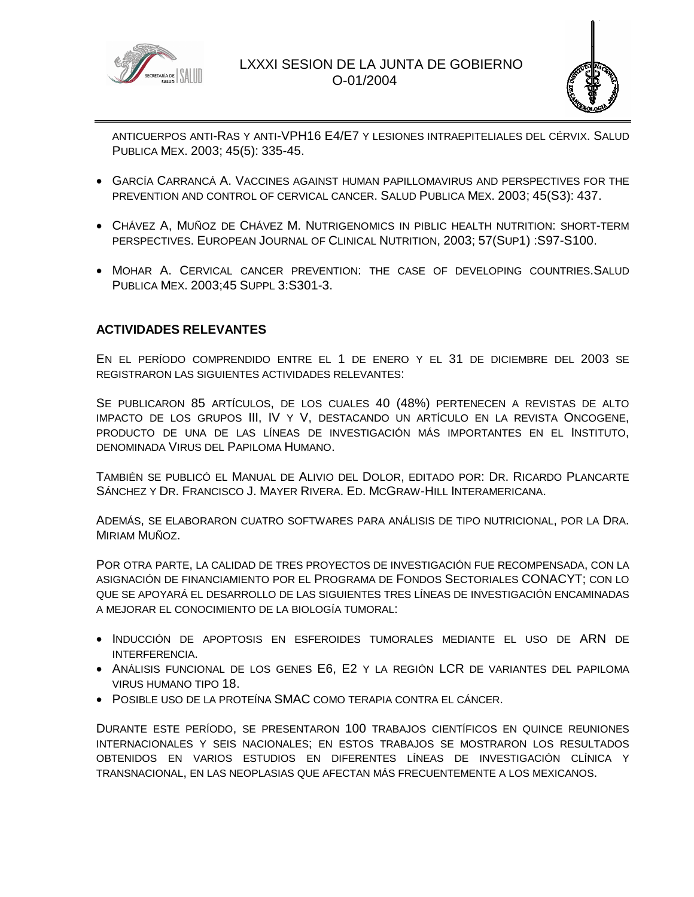



ANTICUERPOS ANTI-RAS Y ANTI-VPH16 E4/E7 Y LESIONES INTRAEPITELIALES DEL CÉRVIX. SALUD PUBLICA MEX. 2003; 45(5): 335-45.

- GARCÍA CARRANCÁ A. VACCINES AGAINST HUMAN PAPILLOMAVIRUS AND PERSPECTIVES FOR THE PREVENTION AND CONTROL OF CERVICAL CANCER. SALUD PUBLICA MEX. 2003; 45(S3): 437.
- CHÁVEZ A, MUÑOZ DE CHÁVEZ M. NUTRIGENOMICS IN PIBLIC HEALTH NUTRITION: SHORT-TERM PERSPECTIVES. EUROPEAN JOURNAL OF CLINICAL NUTRITION, 2003; 57(SUP1) :S97-S100.
- MOHAR A. CERVICAL CANCER PREVENTION: THE CASE OF DEVELOPING COUNTRIES.SALUD PUBLICA MEX. 2003;45 SUPPL 3:S301-3.

### **ACTIVIDADES RELEVANTES**

EN EL PERÍODO COMPRENDIDO ENTRE EL 1 DE ENERO Y EL 31 DE DICIEMBRE DEL 2003 SE REGISTRARON LAS SIGUIENTES ACTIVIDADES RELEVANTES:

SE PUBLICARON 85 ARTÍCULOS, DE LOS CUALES 40 (48%) PERTENECEN A REVISTAS DE ALTO IMPACTO DE LOS GRUPOS III, IV Y V, DESTACANDO UN ARTÍCULO EN LA REVISTA ONCOGENE, PRODUCTO DE UNA DE LAS LÍNEAS DE INVESTIGACIÓN MÁS IMPORTANTES EN EL INSTITUTO, DENOMINADA VIRUS DEL PAPILOMA HUMANO.

TAMBIÉN SE PUBLICÓ EL MANUAL DE ALIVIO DEL DOLOR, EDITADO POR: DR. RICARDO PLANCARTE SÁNCHEZ Y DR. FRANCISCO J. MAYER RIVERA. ED. MCGRAW-HILL INTERAMERICANA.

ADEMÁS, SE ELABORARON CUATRO SOFTWARES PARA ANÁLISIS DE TIPO NUTRICIONAL, POR LA DRA. MIRIAM MUÑOZ.

POR OTRA PARTE, LA CALIDAD DE TRES PROYECTOS DE INVESTIGACIÓN FUE RECOMPENSADA, CON LA ASIGNACIÓN DE FINANCIAMIENTO POR EL PROGRAMA DE FONDOS SECTORIALES CONACYT; CON LO QUE SE APOYARÁ EL DESARROLLO DE LAS SIGUIENTES TRES LÍNEAS DE INVESTIGACIÓN ENCAMINADAS A MEJORAR EL CONOCIMIENTO DE LA BIOLOGÍA TUMORAL:

- INDUCCIÓN DE APOPTOSIS EN ESFEROIDES TUMORALES MEDIANTE EL USO DE ARN DE INTERFERENCIA.
- ANÁLISIS FUNCIONAL DE LOS GENES E6, E2 Y LA REGIÓN LCR DE VARIANTES DEL PAPILOMA VIRUS HUMANO TIPO 18.
- POSIBLE USO DE LA PROTEÍNA SMAC COMO TERAPIA CONTRA EL CÁNCER.

DURANTE ESTE PERÍODO, SE PRESENTARON 100 TRABAJOS CIENTÍFICOS EN QUINCE REUNIONES INTERNACIONALES Y SEIS NACIONALES; EN ESTOS TRABAJOS SE MOSTRARON LOS RESULTADOS OBTENIDOS EN VARIOS ESTUDIOS EN DIFERENTES LÍNEAS DE INVESTIGACIÓN CLÍNICA Y TRANSNACIONAL, EN LAS NEOPLASIAS QUE AFECTAN MÁS FRECUENTEMENTE A LOS MEXICANOS.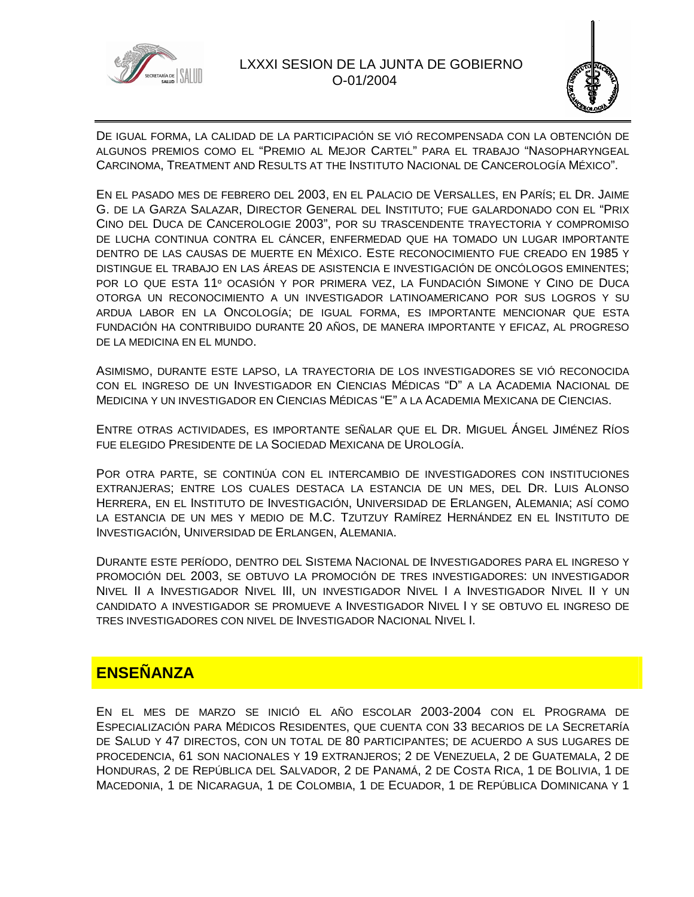



DE IGUAL FORMA, LA CALIDAD DE LA PARTICIPACIÓN SE VIÓ RECOMPENSADA CON LA OBTENCIÓN DE ALGUNOS PREMIOS COMO EL "PREMIO AL MEJOR CARTEL" PARA EL TRABAJO "NASOPHARYNGEAL CARCINOMA, TREATMENT AND RESULTS AT THE INSTITUTO NACIONAL DE CANCEROLOGÍA MÉXICO".

EN EL PASADO MES DE FEBRERO DEL 2003, EN EL PALACIO DE VERSALLES, EN PARÍS; EL DR. JAIME G. DE LA GARZA SALAZAR, DIRECTOR GENERAL DEL INSTITUTO; FUE GALARDONADO CON EL "PRIX CINO DEL DUCA DE CANCEROLOGIE 2003", POR SU TRASCENDENTE TRAYECTORIA Y COMPROMISO DE LUCHA CONTINUA CONTRA EL CÁNCER, ENFERMEDAD QUE HA TOMADO UN LUGAR IMPORTANTE DENTRO DE LAS CAUSAS DE MUERTE EN MÉXICO. ESTE RECONOCIMIENTO FUE CREADO EN 1985 Y DISTINGUE EL TRABAJO EN LAS ÁREAS DE ASISTENCIA E INVESTIGACIÓN DE ONCÓLOGOS EMINENTES; POR LO QUE ESTA 11º OCASIÓN Y POR PRIMERA VEZ, LA FUNDACIÓN SIMONE Y CINO DE DUCA OTORGA UN RECONOCIMIENTO A UN INVESTIGADOR LATINOAMERICANO POR SUS LOGROS Y SU ARDUA LABOR EN LA ONCOLOGÍA; DE IGUAL FORMA, ES IMPORTANTE MENCIONAR QUE ESTA FUNDACIÓN HA CONTRIBUIDO DURANTE 20 AÑOS, DE MANERA IMPORTANTE Y EFICAZ, AL PROGRESO DE LA MEDICINA EN EL MUNDO.

ASIMISMO, DURANTE ESTE LAPSO, LA TRAYECTORIA DE LOS INVESTIGADORES SE VIÓ RECONOCIDA CON EL INGRESO DE UN INVESTIGADOR EN CIENCIAS MÉDICAS "D" A LA ACADEMIA NACIONAL DE MEDICINA Y UN INVESTIGADOR EN CIENCIAS MÉDICAS "E" A LA ACADEMIA MEXICANA DE CIENCIAS.

ENTRE OTRAS ACTIVIDADES, ES IMPORTANTE SEÑALAR QUE EL DR. MIGUEL ÁNGEL JIMÉNEZ RÍOS FUE ELEGIDO PRESIDENTE DE LA SOCIEDAD MEXICANA DE UROLOGÍA.

POR OTRA PARTE, SE CONTINÚA CON EL INTERCAMBIO DE INVESTIGADORES CON INSTITUCIONES EXTRANJERAS; ENTRE LOS CUALES DESTACA LA ESTANCIA DE UN MES, DEL DR. LUIS ALONSO HERRERA, EN EL INSTITUTO DE INVESTIGACIÓN, UNIVERSIDAD DE ERLANGEN, ALEMANIA; ASÍ COMO LA ESTANCIA DE UN MES Y MEDIO DE M.C. TZUTZUY RAMÍREZ HERNÁNDEZ EN EL INSTITUTO DE INVESTIGACIÓN, UNIVERSIDAD DE ERLANGEN, ALEMANIA.

DURANTE ESTE PERÍODO, DENTRO DEL SISTEMA NACIONAL DE INVESTIGADORES PARA EL INGRESO Y PROMOCIÓN DEL 2003, SE OBTUVO LA PROMOCIÓN DE TRES INVESTIGADORES: UN INVESTIGADOR NIVEL II A INVESTIGADOR NIVEL III, UN INVESTIGADOR NIVEL I A INVESTIGADOR NIVEL II Y UN CANDIDATO A INVESTIGADOR SE PROMUEVE A INVESTIGADOR NIVEL I Y SE OBTUVO EL INGRESO DE TRES INVESTIGADORES CON NIVEL DE INVESTIGADOR NACIONAL NIVEL I.

# **ENSEÑANZA**

EN EL MES DE MARZO SE INICIÓ EL AÑO ESCOLAR 2003-2004 CON EL PROGRAMA DE ESPECIALIZACIÓN PARA MÉDICOS RESIDENTES, QUE CUENTA CON 33 BECARIOS DE LA SECRETARÍA DE SALUD Y 47 DIRECTOS, CON UN TOTAL DE 80 PARTICIPANTES; DE ACUERDO A SUS LUGARES DE PROCEDENCIA, 61 SON NACIONALES Y 19 EXTRANJEROS; 2 DE VENEZUELA, 2 DE GUATEMALA, 2 DE HONDURAS, 2 DE REPÚBLICA DEL SALVADOR, 2 DE PANAMÁ, 2 DE COSTA RICA, 1 DE BOLIVIA, 1 DE MACEDONIA, 1 DE NICARAGUA, 1 DE COLOMBIA, 1 DE ECUADOR, 1 DE REPÚBLICA DOMINICANA Y 1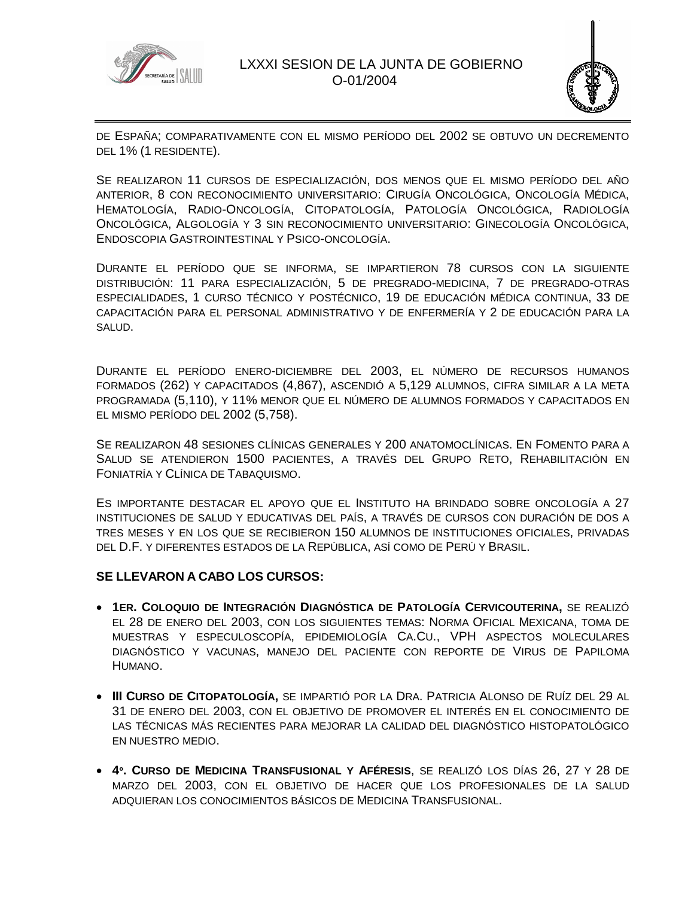



DE ESPAÑA; COMPARATIVAMENTE CON EL MISMO PERÍODO DEL 2002 SE OBTUVO UN DECREMENTO DEL 1% (1 RESIDENTE).

SE REALIZARON 11 CURSOS DE ESPECIALIZACIÓN, DOS MENOS QUE EL MISMO PERÍODO DEL AÑO ANTERIOR, 8 CON RECONOCIMIENTO UNIVERSITARIO: CIRUGÍA ONCOLÓGICA, ONCOLOGÍA MÉDICA, HEMATOLOGÍA, RADIO-ONCOLOGÍA, CITOPATOLOGÍA, PATOLOGÍA ONCOLÓGICA, RADIOLOGÍA ONCOLÓGICA, ALGOLOGÍA Y 3 SIN RECONOCIMIENTO UNIVERSITARIO: GINECOLOGÍA ONCOLÓGICA, ENDOSCOPIA GASTROINTESTINAL Y PSICO-ONCOLOGÍA.

DURANTE EL PERÍODO QUE SE INFORMA, SE IMPARTIERON 78 CURSOS CON LA SIGUIENTE DISTRIBUCIÓN: 11 PARA ESPECIALIZACIÓN, 5 DE PREGRADO-MEDICINA, 7 DE PREGRADO-OTRAS ESPECIALIDADES, 1 CURSO TÉCNICO Y POSTÉCNICO, 19 DE EDUCACIÓN MÉDICA CONTINUA, 33 DE CAPACITACIÓN PARA EL PERSONAL ADMINISTRATIVO Y DE ENFERMERÍA Y 2 DE EDUCACIÓN PARA LA SALUD.

DURANTE EL PERÍODO ENERO-DICIEMBRE DEL 2003, EL NÚMERO DE RECURSOS HUMANOS FORMADOS (262) Y CAPACITADOS (4,867), ASCENDIÓ A 5,129 ALUMNOS, CIFRA SIMILAR A LA META PROGRAMADA (5,110), Y 11% MENOR QUE EL NÚMERO DE ALUMNOS FORMADOS Y CAPACITADOS EN EL MISMO PERÍODO DEL 2002 (5,758).

SE REALIZARON 48 SESIONES CLÍNICAS GENERALES Y 200 ANATOMOCLÍNICAS. EN FOMENTO PARA A SALUD SE ATENDIERON 1500 PACIENTES, A TRAVÉS DEL GRUPO RETO, REHABILITACIÓN EN FONIATRÍA Y CLÍNICA DE TABAQUISMO.

ES IMPORTANTE DESTACAR EL APOYO QUE EL INSTITUTO HA BRINDADO SOBRE ONCOLOGÍA A 27 INSTITUCIONES DE SALUD Y EDUCATIVAS DEL PAÍS, A TRAVÉS DE CURSOS CON DURACIÓN DE DOS A TRES MESES Y EN LOS QUE SE RECIBIERON 150 ALUMNOS DE INSTITUCIONES OFICIALES, PRIVADAS DEL D.F. Y DIFERENTES ESTADOS DE LA REPÚBLICA, ASÍ COMO DE PERÚ Y BRASIL.

#### **SE LLEVARON A CABO LOS CURSOS:**

- **1ER. COLOQUIO DE INTEGRACIÓN DIAGNÓSTICA DE PATOLOGÍA CERVICOUTERINA,** SE REALIZÓ EL 28 DE ENERO DEL 2003, CON LOS SIGUIENTES TEMAS: NORMA OFICIAL MEXICANA, TOMA DE MUESTRAS Y ESPECULOSCOPÍA, EPIDEMIOLOGÍA CA.CU., VPH ASPECTOS MOLECULARES DIAGNÓSTICO Y VACUNAS, MANEJO DEL PACIENTE CON REPORTE DE VIRUS DE PAPILOMA HUMANO.
- **III CURSO DE CITOPATOLOGÍA,** SE IMPARTIÓ POR LA DRA. PATRICIA ALONSO DE RUÍZ DEL 29 AL 31 DE ENERO DEL 2003, CON EL OBJETIVO DE PROMOVER EL INTERÉS EN EL CONOCIMIENTO DE LAS TÉCNICAS MÁS RECIENTES PARA MEJORAR LA CALIDAD DEL DIAGNÓSTICO HISTOPATOLÓGICO EN NUESTRO MEDIO.
- **4º. CURSO DE MEDICINA TRANSFUSIONAL Y AFÉRESIS**, SE REALIZÓ LOS DÍAS 26, 27 Y 28 DE MARZO DEL 2003, CON EL OBJETIVO DE HACER QUE LOS PROFESIONALES DE LA SALUD ADQUIERAN LOS CONOCIMIENTOS BÁSICOS DE MEDICINA TRANSFUSIONAL.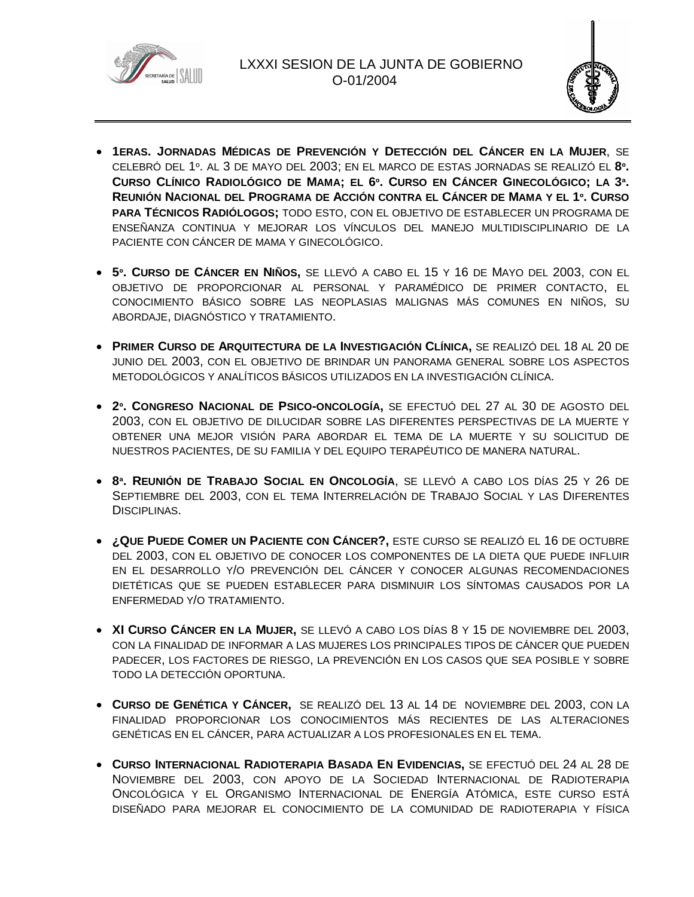



- **1ERAS. JORNADAS MÉDICAS DE PREVENCIÓN Y DETECCIÓN DEL CÁNCER EN LA MUJER**, SE CELEBRÓ DEL 1º. AL 3 DE MAYO DEL 2003; EN EL MARCO DE ESTAS JORNADAS SE REALIZÓ EL **8º.** CURSO CLÍNICO RADIOLÓGICO DE MAMA; EL 6º. CURSO EN CÁNCER GINECOLÓGICO; LA 3ª. REUNIÓN NACIONAL DEL PROGRAMA DE ACCIÓN CONTRA EL CÁNCER DE MAMA Y EL 1º. CURSO **PARA TÉCNICOS RADIÓLOGOS;** TODO ESTO, CON EL OBJETIVO DE ESTABLECER UN PROGRAMA DE ENSEÑANZA CONTINUA Y MEJORAR LOS VÍNCULOS DEL MANEJO MULTIDISCIPLINARIO DE LA PACIENTE CON CÁNCER DE MAMA Y GINECOLÓGICO.
- **5º. CURSO DE CÁNCER EN NIÑOS,** SE LLEVÓ A CABO EL 15 Y 16 DE MAYO DEL 2003, CON EL OBJETIVO DE PROPORCIONAR AL PERSONAL Y PARAMÉDICO DE PRIMER CONTACTO, EL CONOCIMIENTO BÁSICO SOBRE LAS NEOPLASIAS MALIGNAS MÁS COMUNES EN NIÑOS, SU ABORDAJE, DIAGNÓSTICO Y TRATAMIENTO.
- **PRIMER CURSO DE ARQUITECTURA DE LA INVESTIGACIÓN CLÍNICA,** SE REALIZÓ DEL 18 AL 20 DE JUNIO DEL 2003, CON EL OBJETIVO DE BRINDAR UN PANORAMA GENERAL SOBRE LOS ASPECTOS METODOLÓGICOS Y ANALÍTICOS BÁSICOS UTILIZADOS EN LA INVESTIGACIÓN CLÍNICA.
- **2º. CONGRESO NACIONAL DE PSICO-ONCOLOGÍA,** SE EFECTUÓ DEL 27 AL 30 DE AGOSTO DEL 2003, CON EL OBJETIVO DE DILUCIDAR SOBRE LAS DIFERENTES PERSPECTIVAS DE LA MUERTE Y OBTENER UNA MEJOR VISIÓN PARA ABORDAR EL TEMA DE LA MUERTE Y SU SOLICITUD DE NUESTROS PACIENTES, DE SU FAMILIA Y DEL EQUIPO TERAPÉUTICO DE MANERA NATURAL.
- **8ª. REUNIÓN DE TRABAJO SOCIAL EN ONCOLOGÍA**, SE LLEVÓ A CABO LOS DÍAS 25 Y 26 DE SEPTIEMBRE DEL 2003, CON EL TEMA INTERRELACIÓN DE TRABAJO SOCIAL Y LAS DIFERENTES DISCIPLINAS.
- **¿QUE PUEDE COMER UN PACIENTE CON CÁNCER?,** ESTE CURSO SE REALIZÓ EL 16 DE OCTUBRE DEL 2003, CON EL OBJETIVO DE CONOCER LOS COMPONENTES DE LA DIETA QUE PUEDE INFLUIR EN EL DESARROLLO Y/O PREVENCIÓN DEL CÁNCER Y CONOCER ALGUNAS RECOMENDACIONES DIETÉTICAS QUE SE PUEDEN ESTABLECER PARA DISMINUIR LOS SÍNTOMAS CAUSADOS POR LA ENFERMEDAD Y/O TRATAMIENTO.
- **XI CURSO CÁNCER EN LA MUJER,** SE LLEVÓ A CABO LOS DÍAS 8 Y 15 DE NOVIEMBRE DEL 2003, CON LA FINALIDAD DE INFORMAR A LAS MUJERES LOS PRINCIPALES TIPOS DE CÁNCER QUE PUEDEN PADECER, LOS FACTORES DE RIESGO, LA PREVENCIÓN EN LOS CASOS QUE SEA POSIBLE Y SOBRE TODO LA DETECCIÓN OPORTUNA.
- **CURSO DE GENÉTICA Y CÁNCER,** SE REALIZÓ DEL 13 AL 14 DE NOVIEMBRE DEL 2003, CON LA FINALIDAD PROPORCIONAR LOS CONOCIMIENTOS MÁS RECIENTES DE LAS ALTERACIONES GENÉTICAS EN EL CÁNCER, PARA ACTUALIZAR A LOS PROFESIONALES EN EL TEMA.
- **CURSO INTERNACIONAL RADIOTERAPIA BASADA EN EVIDENCIAS,** SE EFECTUÓ DEL 24 AL 28 DE NOVIEMBRE DEL 2003, CON APOYO DE LA SOCIEDAD INTERNACIONAL DE RADIOTERAPIA ONCOLÓGICA Y EL ORGANISMO INTERNACIONAL DE ENERGÍA ATÓMICA, ESTE CURSO ESTÁ DISEÑADO PARA MEJORAR EL CONOCIMIENTO DE LA COMUNIDAD DE RADIOTERAPIA Y FÍSICA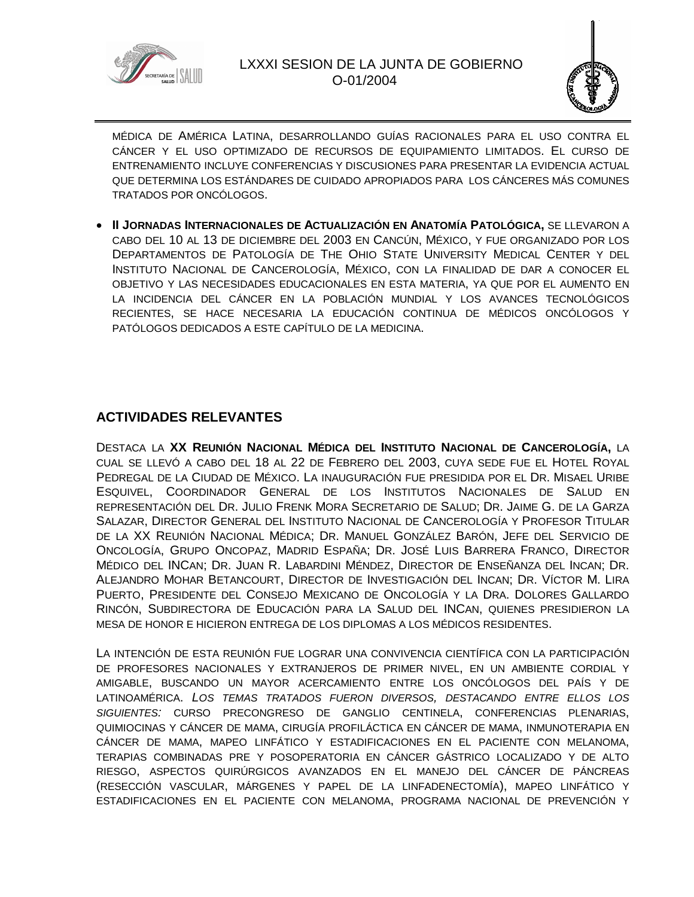



MÉDICA DE AMÉRICA LATINA, DESARROLLANDO GUÍAS RACIONALES PARA EL USO CONTRA EL CÁNCER Y EL USO OPTIMIZADO DE RECURSOS DE EQUIPAMIENTO LIMITADOS. EL CURSO DE ENTRENAMIENTO INCLUYE CONFERENCIAS Y DISCUSIONES PARA PRESENTAR LA EVIDENCIA ACTUAL QUE DETERMINA LOS ESTÁNDARES DE CUIDADO APROPIADOS PARA LOS CÁNCERES MÁS COMUNES TRATADOS POR ONCÓLOGOS.

 **II JORNADAS INTERNACIONALES DE ACTUALIZACIÓN EN ANATOMÍA PATOLÓGICA,** SE LLEVARON A CABO DEL 10 AL 13 DE DICIEMBRE DEL 2003 EN CANCÚN, MÉXICO, Y FUE ORGANIZADO POR LOS DEPARTAMENTOS DE PATOLOGÍA DE THE OHIO STATE UNIVERSITY MEDICAL CENTER Y DEL INSTITUTO NACIONAL DE CANCEROLOGÍA, MÉXICO, CON LA FINALIDAD DE DAR A CONOCER EL OBJETIVO Y LAS NECESIDADES EDUCACIONALES EN ESTA MATERIA, YA QUE POR EL AUMENTO EN LA INCIDENCIA DEL CÁNCER EN LA POBLACIÓN MUNDIAL Y LOS AVANCES TECNOLÓGICOS RECIENTES, SE HACE NECESARIA LA EDUCACIÓN CONTINUA DE MÉDICOS ONCÓLOGOS Y PATÓLOGOS DEDICADOS A ESTE CAPÍTULO DE LA MEDICINA.

## **ACTIVIDADES RELEVANTES**

DESTACA LA **XX REUNIÓN NACIONAL MÉDICA DEL INSTITUTO NACIONAL DE CANCEROLOGÍA,** LA CUAL SE LLEVÓ A CABO DEL 18 AL 22 DE FEBRERO DEL 2003, CUYA SEDE FUE EL HOTEL ROYAL PEDREGAL DE LA CIUDAD DE MÉXICO. LA INAUGURACIÓN FUE PRESIDIDA POR EL DR. MISAEL URIBE ESQUIVEL, COORDINADOR GENERAL DE LOS INSTITUTOS NACIONALES DE SALUD EN REPRESENTACIÓN DEL DR. JULIO FRENK MORA SECRETARIO DE SALUD; DR. JAIME G. DE LA GARZA SALAZAR, DIRECTOR GENERAL DEL INSTITUTO NACIONAL DE CANCEROLOGÍA Y PROFESOR TITULAR DE LA XX REUNIÓN NACIONAL MÉDICA; DR. MANUEL GONZÁLEZ BARÓN, JEFE DEL SERVICIO DE ONCOLOGÍA, GRUPO ONCOPAZ, MADRID ESPAÑA; DR. JOSÉ LUIS BARRERA FRANCO, DIRECTOR MÉDICO DEL INCAN; DR. JUAN R. LABARDINI MÉNDEZ, DIRECTOR DE ENSEÑANZA DEL INCAN; DR. ALEJANDRO MOHAR BETANCOURT, DIRECTOR DE INVESTIGACIÓN DEL INCAN; DR. VÍCTOR M. LIRA PUERTO, PRESIDENTE DEL CONSEJO MEXICANO DE ONCOLOGÍA Y LA DRA. DOLORES GALLARDO RINCÓN, SUBDIRECTORA DE EDUCACIÓN PARA LA SALUD DEL INCAN, QUIENES PRESIDIERON LA MESA DE HONOR E HICIERON ENTREGA DE LOS DIPLOMAS A LOS MÉDICOS RESIDENTES.

LA INTENCIÓN DE ESTA REUNIÓN FUE LOGRAR UNA CONVIVENCIA CIENTÍFICA CON LA PARTICIPACIÓN DE PROFESORES NACIONALES Y EXTRANJEROS DE PRIMER NIVEL, EN UN AMBIENTE CORDIAL Y AMIGABLE, BUSCANDO UN MAYOR ACERCAMIENTO ENTRE LOS ONCÓLOGOS DEL PAÍS Y DE LATINOAMÉRICA. *LOS TEMAS TRATADOS FUERON DIVERSOS, DESTACANDO ENTRE ELLOS LOS SIGUIENTES:* CURSO PRECONGRESO DE GANGLIO CENTINELA, CONFERENCIAS PLENARIAS, QUIMIOCINAS Y CÁNCER DE MAMA, CIRUGÍA PROFILÁCTICA EN CÁNCER DE MAMA, INMUNOTERAPIA EN CÁNCER DE MAMA, MAPEO LINFÁTICO Y ESTADIFICACIONES EN EL PACIENTE CON MELANOMA, TERAPIAS COMBINADAS PRE Y POSOPERATORIA EN CÁNCER GÁSTRICO LOCALIZADO Y DE ALTO RIESGO, ASPECTOS QUIRÚRGICOS AVANZADOS EN EL MANEJO DEL CÁNCER DE PÁNCREAS (RESECCIÓN VASCULAR, MÁRGENES Y PAPEL DE LA LINFADENECTOMÍA), MAPEO LINFÁTICO Y ESTADIFICACIONES EN EL PACIENTE CON MELANOMA, PROGRAMA NACIONAL DE PREVENCIÓN Y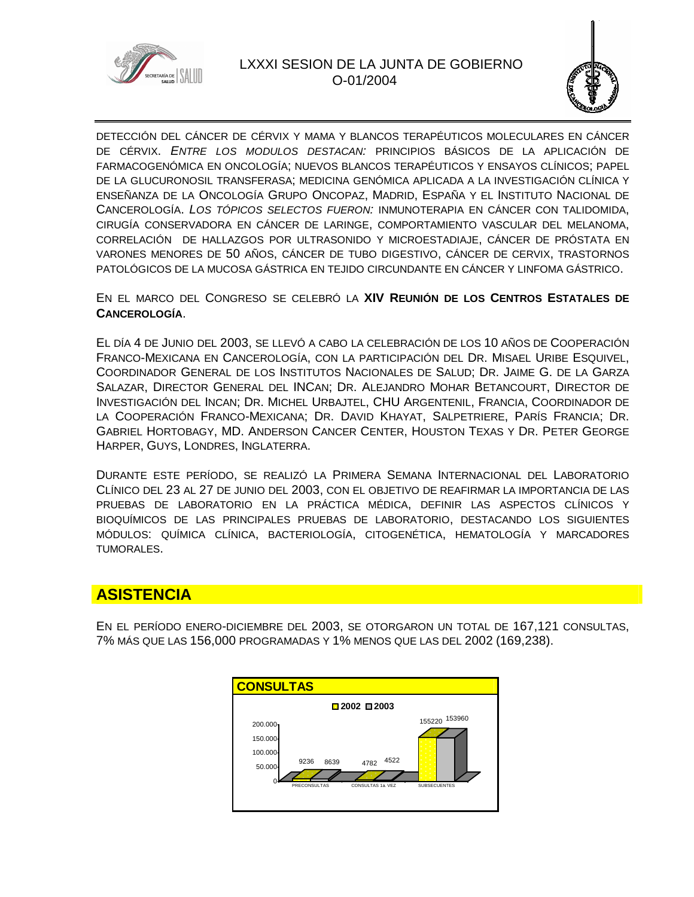

#### LXXXI SESION DE LA JUNTA DE GOBIERNO O-01/2004



DETECCIÓN DEL CÁNCER DE CÉRVIX Y MAMA Y BLANCOS TERAPÉUTICOS MOLECULARES EN CÁNCER DE CÉRVIX. *ENTRE LOS MODULOS DESTACAN:* PRINCIPIOS BÁSICOS DE LA APLICACIÓN DE FARMACOGENÓMICA EN ONCOLOGÍA; NUEVOS BLANCOS TERAPÉUTICOS Y ENSAYOS CLÍNICOS; PAPEL DE LA GLUCURONOSIL TRANSFERASA; MEDICINA GENÓMICA APLICADA A LA INVESTIGACIÓN CLÍNICA Y ENSEÑANZA DE LA ONCOLOGÍA GRUPO ONCOPAZ, MADRID, ESPAÑA Y EL INSTITUTO NACIONAL DE CANCEROLOGÍA. *LOS TÓPICOS SELECTOS FUERON:* INMUNOTERAPIA EN CÁNCER CON TALIDOMIDA, CIRUGÍA CONSERVADORA EN CÁNCER DE LARINGE, COMPORTAMIENTO VASCULAR DEL MELANOMA, CORRELACIÓN DE HALLAZGOS POR ULTRASONIDO Y MICROESTADIAJE, CÁNCER DE PRÓSTATA EN VARONES MENORES DE 50 AÑOS, CÁNCER DE TUBO DIGESTIVO, CÁNCER DE CERVIX, TRASTORNOS PATOLÓGICOS DE LA MUCOSA GÁSTRICA EN TEJIDO CIRCUNDANTE EN CÁNCER Y LINFOMA GÁSTRICO.

#### EN EL MARCO DEL CONGRESO SE CELEBRÓ LA **XIV REUNIÓN DE LOS CENTROS ESTATALES DE CANCEROLOGÍA**.

EL DÍA 4 DE JUNIO DEL 2003, SE LLEVÓ A CABO LA CELEBRACIÓN DE LOS 10 AÑOS DE COOPERACIÓN FRANCO-MEXICANA EN CANCEROLOGÍA, CON LA PARTICIPACIÓN DEL DR. MISAEL URIBE ESQUIVEL, COORDINADOR GENERAL DE LOS INSTITUTOS NACIONALES DE SALUD; DR. JAIME G. DE LA GARZA SALAZAR, DIRECTOR GENERAL DEL INCAN; DR. ALEJANDRO MOHAR BETANCOURT, DIRECTOR DE INVESTIGACIÓN DEL INCAN; DR. MICHEL URBAJTEL, CHU ARGENTENIL, FRANCIA, COORDINADOR DE LA COOPERACIÓN FRANCO-MEXICANA; DR. DAVID KHAYAT, SALPETRIERE, PARÍS FRANCIA; DR. GABRIEL HORTOBAGY, MD. ANDERSON CANCER CENTER, HOUSTON TEXAS Y DR. PETER GEORGE HARPER, GUYS, LONDRES, INGLATERRA.

DURANTE ESTE PERÍODO, SE REALIZÓ LA PRIMERA SEMANA INTERNACIONAL DEL LABORATORIO CLÍNICO DEL 23 AL 27 DE JUNIO DEL 2003, CON EL OBJETIVO DE REAFIRMAR LA IMPORTANCIA DE LAS PRUEBAS DE LABORATORIO EN LA PRÁCTICA MÉDICA, DEFINIR LAS ASPECTOS CLÍNICOS Y BIOQUÍMICOS DE LAS PRINCIPALES PRUEBAS DE LABORATORIO, DESTACANDO LOS SIGUIENTES MÓDULOS: QUÍMICA CLÍNICA, BACTERIOLOGÍA, CITOGENÉTICA, HEMATOLOGÍA Y MARCADORES TUMORALES.

# **ASISTENCIA**

EN EL PERÍODO ENERO-DICIEMBRE DEL 2003, SE OTORGARON UN TOTAL DE 167,121 CONSULTAS, 7% MÁS QUE LAS 156,000 PROGRAMADAS Y 1% MENOS QUE LAS DEL 2002 (169,238).

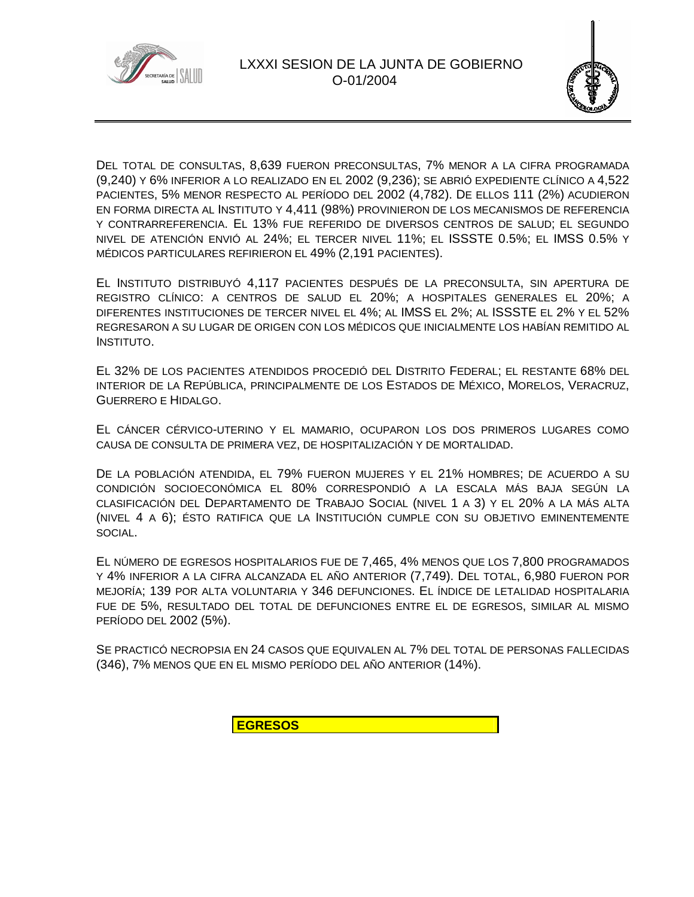



DEL TOTAL DE CONSULTAS, 8,639 FUERON PRECONSULTAS, 7% MENOR A LA CIFRA PROGRAMADA (9,240) Y 6% INFERIOR A LO REALIZADO EN EL 2002 (9,236); SE ABRIÓ EXPEDIENTE CLÍNICO A 4,522 PACIENTES, 5% MENOR RESPECTO AL PERÍODO DEL 2002 (4,782). DE ELLOS 111 (2%) ACUDIERON EN FORMA DIRECTA AL INSTITUTO Y 4,411 (98%) PROVINIERON DE LOS MECANISMOS DE REFERENCIA Y CONTRARREFERENCIA. EL 13% FUE REFERIDO DE DIVERSOS CENTROS DE SALUD; EL SEGUNDO NIVEL DE ATENCIÓN ENVIÓ AL 24%; EL TERCER NIVEL 11%; EL ISSSTE 0.5%; EL IMSS 0.5% Y MÉDICOS PARTICULARES REFIRIERON EL 49% (2,191 PACIENTES).

EL INSTITUTO DISTRIBUYÓ 4,117 PACIENTES DESPUÉS DE LA PRECONSULTA, SIN APERTURA DE REGISTRO CLÍNICO: A CENTROS DE SALUD EL 20%; A HOSPITALES GENERALES EL 20%; A DIFERENTES INSTITUCIONES DE TERCER NIVEL EL 4%; AL IMSS EL 2%; AL ISSSTE EL 2% Y EL 52% REGRESARON A SU LUGAR DE ORIGEN CON LOS MÉDICOS QUE INICIALMENTE LOS HABÍAN REMITIDO AL INSTITUTO.

EL 32% DE LOS PACIENTES ATENDIDOS PROCEDIÓ DEL DISTRITO FEDERAL; EL RESTANTE 68% DEL INTERIOR DE LA REPÚBLICA, PRINCIPALMENTE DE LOS ESTADOS DE MÉXICO, MORELOS, VERACRUZ, GUERRERO E HIDALGO.

EL CÁNCER CÉRVICO-UTERINO Y EL MAMARIO, OCUPARON LOS DOS PRIMEROS LUGARES COMO CAUSA DE CONSULTA DE PRIMERA VEZ, DE HOSPITALIZACIÓN Y DE MORTALIDAD.

DE LA POBLACIÓN ATENDIDA, EL 79% FUERON MUJERES Y EL 21% HOMBRES; DE ACUERDO A SU CONDICIÓN SOCIOECONÓMICA EL 80% CORRESPONDIÓ A LA ESCALA MÁS BAJA SEGÚN LA CLASIFICACIÓN DEL DEPARTAMENTO DE TRABAJO SOCIAL (NIVEL 1 A 3) Y EL 20% A LA MÁS ALTA (NIVEL 4 A 6); ÉSTO RATIFICA QUE LA INSTITUCIÓN CUMPLE CON SU OBJETIVO EMINENTEMENTE SOCIAL.

EL NÚMERO DE EGRESOS HOSPITALARIOS FUE DE 7,465, 4% MENOS QUE LOS 7,800 PROGRAMADOS Y 4% INFERIOR A LA CIFRA ALCANZADA EL AÑO ANTERIOR (7,749). DEL TOTAL, 6,980 FUERON POR MEJORÍA; 139 POR ALTA VOLUNTARIA Y 346 DEFUNCIONES. EL ÍNDICE DE LETALIDAD HOSPITALARIA FUE DE 5%, RESULTADO DEL TOTAL DE DEFUNCIONES ENTRE EL DE EGRESOS, SIMILAR AL MISMO PERÍODO DEL 2002 (5%).

SE PRACTICÓ NECROPSIA EN 24 CASOS QUE EQUIVALEN AL 7% DEL TOTAL DE PERSONAS FALLECIDAS (346), 7% MENOS QUE EN EL MISMO PERÍODO DEL AÑO ANTERIOR (14%).

**EGRESOS**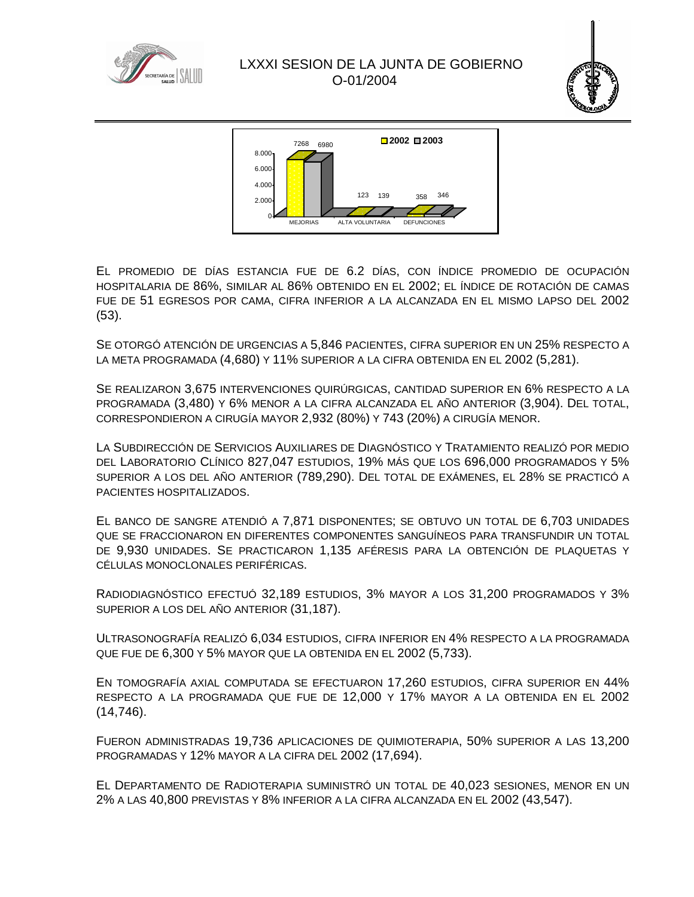





EL PROMEDIO DE DÍAS ESTANCIA FUE DE 6.2 DÍAS, CON ÍNDICE PROMEDIO DE OCUPACIÓN HOSPITALARIA DE 86%, SIMILAR AL 86% OBTENIDO EN EL 2002; EL ÍNDICE DE ROTACIÓN DE CAMAS FUE DE 51 EGRESOS POR CAMA, CIFRA INFERIOR A LA ALCANZADA EN EL MISMO LAPSO DEL 2002 (53).

SE OTORGÓ ATENCIÓN DE URGENCIAS A 5,846 PACIENTES, CIFRA SUPERIOR EN UN 25% RESPECTO A LA META PROGRAMADA (4,680) Y 11% SUPERIOR A LA CIFRA OBTENIDA EN EL 2002 (5,281).

SE REALIZARON 3,675 INTERVENCIONES QUIRÚRGICAS, CANTIDAD SUPERIOR EN 6% RESPECTO A LA PROGRAMADA (3,480) Y 6% MENOR A LA CIFRA ALCANZADA EL AÑO ANTERIOR (3,904). DEL TOTAL, CORRESPONDIERON A CIRUGÍA MAYOR 2,932 (80%) Y 743 (20%) A CIRUGÍA MENOR.

LA SUBDIRECCIÓN DE SERVICIOS AUXILIARES DE DIAGNÓSTICO Y TRATAMIENTO REALIZÓ POR MEDIO DEL LABORATORIO CLÍNICO 827,047 ESTUDIOS, 19% MÁS QUE LOS 696,000 PROGRAMADOS Y 5% SUPERIOR A LOS DEL AÑO ANTERIOR (789,290). DEL TOTAL DE EXÁMENES, EL 28% SE PRACTICÓ A PACIENTES HOSPITALIZADOS.

EL BANCO DE SANGRE ATENDIÓ A 7,871 DISPONENTES; SE OBTUVO UN TOTAL DE 6,703 UNIDADES QUE SE FRACCIONARON EN DIFERENTES COMPONENTES SANGUÍNEOS PARA TRANSFUNDIR UN TOTAL DE 9,930 UNIDADES. SE PRACTICARON 1,135 AFÉRESIS PARA LA OBTENCIÓN DE PLAQUETAS Y CÉLULAS MONOCLONALES PERIFÉRICAS.

RADIODIAGNÓSTICO EFECTUÓ 32,189 ESTUDIOS, 3% MAYOR A LOS 31,200 PROGRAMADOS Y 3% SUPERIOR A LOS DEL AÑO ANTERIOR (31,187).

ULTRASONOGRAFÍA REALIZÓ 6,034 ESTUDIOS, CIFRA INFERIOR EN 4% RESPECTO A LA PROGRAMADA QUE FUE DE 6,300 Y 5% MAYOR QUE LA OBTENIDA EN EL 2002 (5,733).

EN TOMOGRAFÍA AXIAL COMPUTADA SE EFECTUARON 17,260 ESTUDIOS, CIFRA SUPERIOR EN 44% RESPECTO A LA PROGRAMADA QUE FUE DE 12,000 Y 17% MAYOR A LA OBTENIDA EN EL 2002 (14,746).

FUERON ADMINISTRADAS 19,736 APLICACIONES DE QUIMIOTERAPIA, 50% SUPERIOR A LAS 13,200 PROGRAMADAS Y 12% MAYOR A LA CIFRA DEL 2002 (17,694).

EL DEPARTAMENTO DE RADIOTERAPIA SUMINISTRÓ UN TOTAL DE 40,023 SESIONES, MENOR EN UN 2% A LAS 40,800 PREVISTAS Y 8% INFERIOR A LA CIFRA ALCANZADA EN EL 2002 (43,547).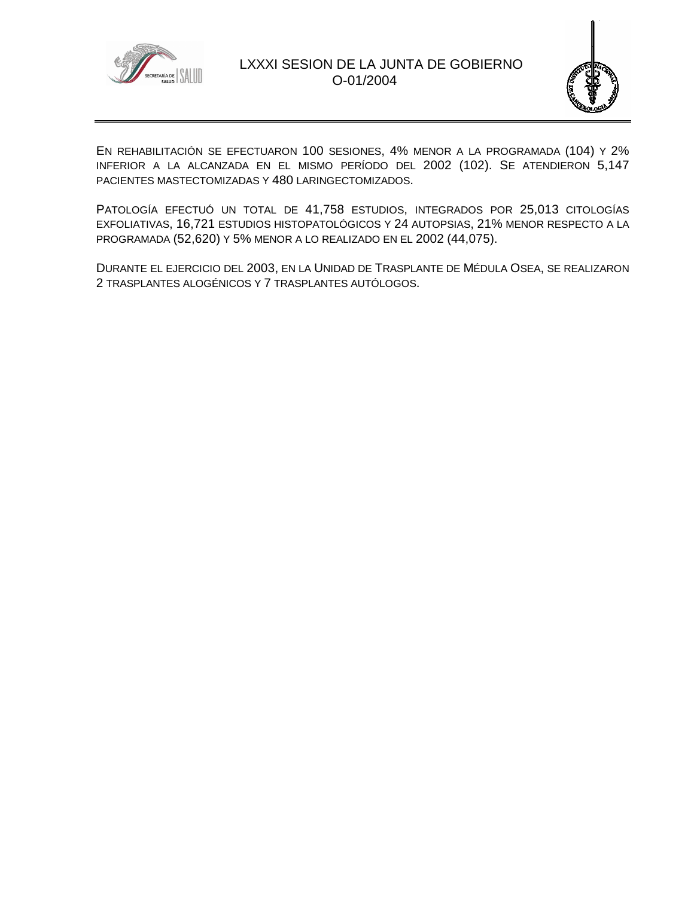



EN REHABILITACIÓN SE EFECTUARON 100 SESIONES, 4% MENOR A LA PROGRAMADA (104) Y 2% INFERIOR A LA ALCANZADA EN EL MISMO PERÍODO DEL 2002 (102). SE ATENDIERON 5,147 PACIENTES MASTECTOMIZADAS Y 480 LARINGECTOMIZADOS.

PATOLOGÍA EFECTUÓ UN TOTAL DE 41,758 ESTUDIOS, INTEGRADOS POR 25,013 CITOLOGÍAS EXFOLIATIVAS, 16,721 ESTUDIOS HISTOPATOLÓGICOS Y 24 AUTOPSIAS, 21% MENOR RESPECTO A LA PROGRAMADA (52,620) Y 5% MENOR A LO REALIZADO EN EL 2002 (44,075).

DURANTE EL EJERCICIO DEL 2003, EN LA UNIDAD DE TRASPLANTE DE MÉDULA OSEA, SE REALIZARON 2 TRASPLANTES ALOGÉNICOS Y 7 TRASPLANTES AUTÓLOGOS.